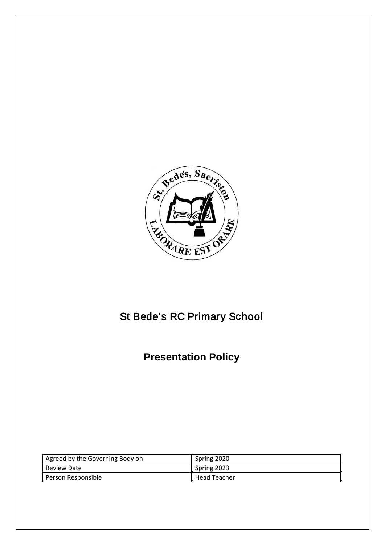

# St Bede's RC Primary School

# **Presentation Policy**

| Agreed by the Governing Body on | Spring 2020         |
|---------------------------------|---------------------|
| Review Date                     | Spring 2023         |
| Person Responsible              | <b>Head Teacher</b> |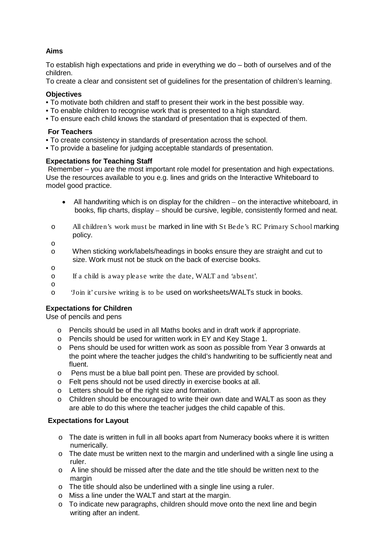## **Aims**

To establish high expectations and pride in everything we do – both of ourselves and of the children.

To create a clear and consistent set of guidelines for the presentation of children's learning.

#### **Objectives**

- To motivate both children and staff to present their work in the best possible way.
- To enable children to recognise work that is presented to a high standard.
- To ensure each child knows the standard of presentation that is expected of them.

#### **For Teachers**

- To create consistency in standards of presentation across the school.
- To provide a baseline for judging acceptable standards of presentation.

#### **Expectations for Teaching Staff**

Remember – you are the most important role model for presentation and high expectations. Use the resources available to you e.g. lines and grids on the Interactive Whiteboard to model good practice.

- All handwriting which is on display for the children on the interactive whiteboard, in books, flip charts, display – should be cursive, legible, consistently formed and neat.
- o All children's work must be marked in line with St Bede's RC Primary School marking policy.

o

- o When sticking work/labels/headings in books ensure they are straight and cut to size. Work must not be stuck on the back of exercise books.
- o
	- If a child is away please write the date, WALT and 'absent'.
- 
- o 'Join it' cursive writing is to be used on worksheets/WALTs stuck in books.

#### **Expectations for Children**

Use of pencils and pens

- o Pencils should be used in all Maths books and in draft work if appropriate.
- o Pencils should be used for written work in EY and Key Stage 1.
- o Pens should be used for written work as soon as possible from Year 3 onwards at the point where the teacher judges the child's handwriting to be sufficiently neat and fluent.
- o Pens must be a blue ball point pen. These are provided by school.
- o Felt pens should not be used directly in exercise books at all.
- o Letters should be of the right size and formation.
- o Children should be encouraged to write their own date and WALT as soon as they are able to do this where the teacher judges the child capable of this.

### **Expectations for Layout**

- o The date is written in full in all books apart from Numeracy books where it is written numerically.
- o The date must be written next to the margin and underlined with a single line using a ruler.
- o A line should be missed after the date and the title should be written next to the margin
- o The title should also be underlined with a single line using a ruler.
- o Miss a line under the WALT and start at the margin.
- o To indicate new paragraphs, children should move onto the next line and begin writing after an indent.